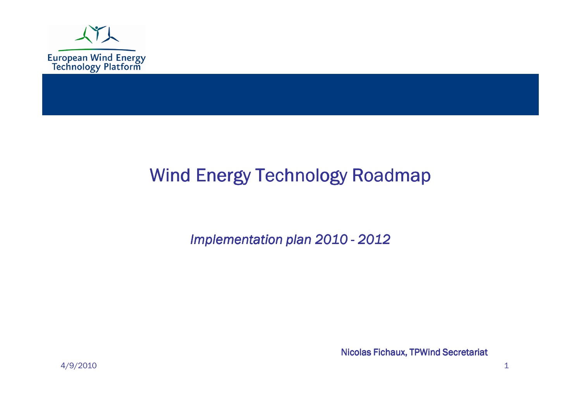

#### Wind Energy Technology Roadmap

Implementation plan 2010 - 2012

Nicolas Fichaux, TPWind Secretariat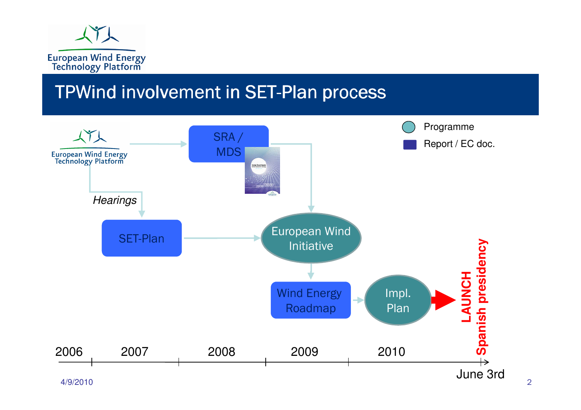

### TPWind involvement in SET-Plan process

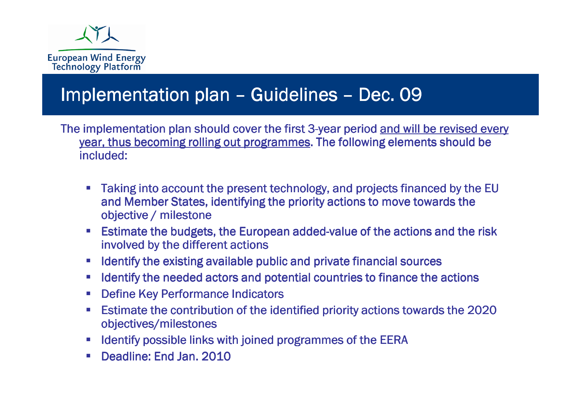

## Implementation plan – Guidelines – Dec. 09

The implementation plan should cover the first 3-year period <u>and will be revised every</u> year, thus becoming rolling out programmes. The following elements should be included:

- П Taking into account the present technology, and projects financed by the EU and Member States, identifying the priority actions to move towards the objective / milestone
- **Estimate the budgets, the European added-value of the actions and the risk value of the actions in the actions and the risk** involved by the different actions
- $\blacksquare$  Identify the existing available public and private financial sources
- $\textcolor{red}{\bullet}$  Identify the needed actors and potential countries to finance the actions
- **•** Define Key Performance Indicators
- **Estimate the contribution of the identified priority actions towards the 2020** objectives/milestones
- $\blacksquare$  Identify possible links with joined programmes of the EERA
- **Deadline: End Jan. 2010**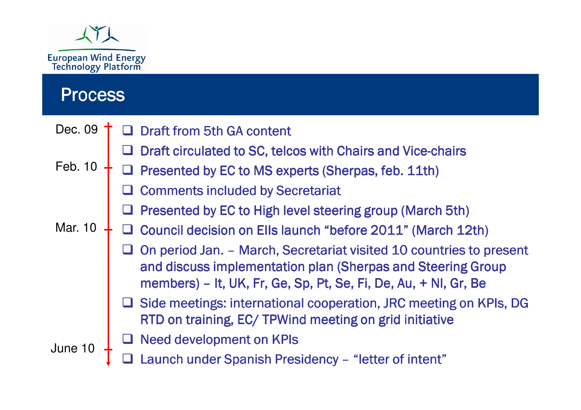

#### Process

| Dec. 09 |  | <b>Draft from 5th GA content</b>                                                                                                                                                                      |
|---------|--|-------------------------------------------------------------------------------------------------------------------------------------------------------------------------------------------------------|
| Feb. 10 |  | Draft circulated to SC, telcos with Chairs and Vice-chairs                                                                                                                                            |
|         |  | $\Box$ Presented by EC to MS experts (Sherpas, feb. 11th)                                                                                                                                             |
|         |  | $\Box$ Comments included by Secretariat                                                                                                                                                               |
| Mar. 10 |  | <b>Presented by EC to High level steering group (March 5th)</b>                                                                                                                                       |
|         |  | □ Council decision on Ells launch "before 2011" (March 12th)                                                                                                                                          |
|         |  | On period Jan. - March, Secretariat visited 10 countries to present<br>and discuss implementation plan (Sherpas and Steering Group<br>members) – It, UK, Fr, Ge, Sp, Pt, Se, Fi, De, Au, + NI, Gr, Be |
|         |  | $\Box$ Side meetings: international cooperation, JRC meeting on KPIs, DG<br>RTD on training, EC/TPWind meeting on grid initiative                                                                     |
| June 10 |  | <b>Q</b> Need development on KPIs                                                                                                                                                                     |
|         |  | Launch under Spanish Presidency - "letter of intent"                                                                                                                                                  |
|         |  |                                                                                                                                                                                                       |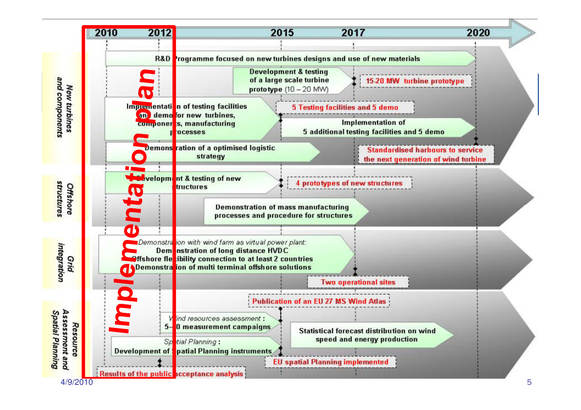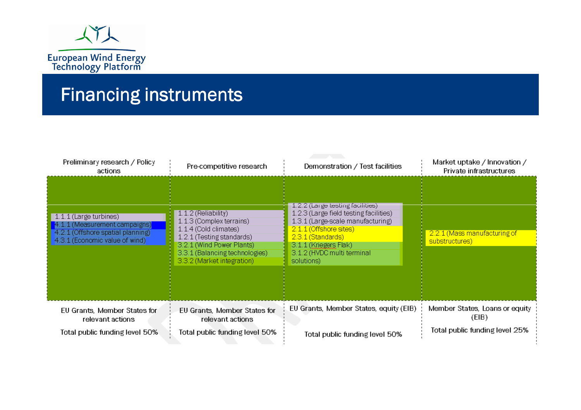

#### Financing instruments

| Preliminary research / Policy<br>actions                                                                                         | Pre-competitive research                                                                                                                                                                             | Demonstration / Test facilities                                                                                                                                                                                                     | Market uptake / Innovation /<br>Private infrastructures                   |
|----------------------------------------------------------------------------------------------------------------------------------|------------------------------------------------------------------------------------------------------------------------------------------------------------------------------------------------------|-------------------------------------------------------------------------------------------------------------------------------------------------------------------------------------------------------------------------------------|---------------------------------------------------------------------------|
| $1.1.1$ (Large turbines)<br>4.1.1 (Measurement campaigns)<br>4.2.1 (Offshore spatial planning)<br>4.3.1 (Economic value of wind) | $1.1.2$ (Reliability)<br>1.1.3 (Complex terrains)<br>1.1.4 (Cold climates)<br>1.2.1 (Testing standards)<br>3.2.1 (Wind Power Plants)<br>3.3.1 (Balancing technologies)<br>3.3.2 (Market integration) | 1.2.2 (Large testing facilities)<br>1.2.3 (Large field testing facilities)<br>1.3.1 (Large-scale manufacturing)<br>2.1.1 (Offshore sites)<br>2.3.1 (Standards)<br>3.1.1 (Kriegers Flak)<br>3.1.2 (HVDC multi terminal<br>solutions) | 2.2.1 (Mass manufacturing of<br>substructures)                            |
| EU Grants, Member States for<br>relevant actions<br>Total public funding level 50%                                               | EU Grants, Member States for<br>relevant actions<br>Total public funding level 50%                                                                                                                   | EU Grants, Member States, equity (EIB)<br>Total public funding level 50%                                                                                                                                                            | Member States, Loans or equity<br>(EIB)<br>Total public funding level 25% |
|                                                                                                                                  |                                                                                                                                                                                                      |                                                                                                                                                                                                                                     |                                                                           |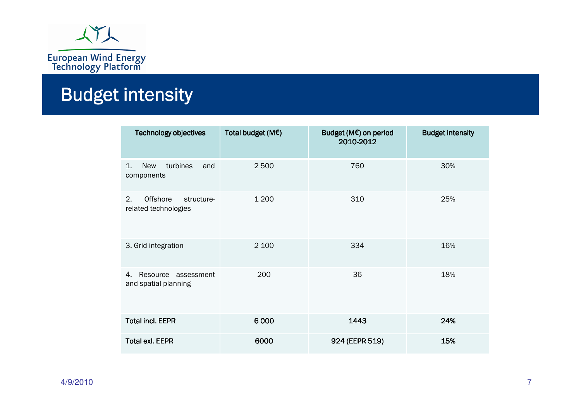

#### Budget intensity

| <b>Technology objectives</b>                                  | Total budget (M€) | Budget (M€) on period<br>2010-2012 | <b>Budget intensity</b> |
|---------------------------------------------------------------|-------------------|------------------------------------|-------------------------|
| <b>New</b><br>turbines<br>and<br>$\mathbf{1}$ .<br>components | 2500              | 760                                | 30%                     |
| 2.<br>Offshore<br>structure-<br>related technologies          | 1 2 0 0           | 310                                | 25%                     |
| 3. Grid integration                                           | 2 100             | 334                                | 16%                     |
| Resource assessment<br>4.<br>and spatial planning             | 200               | 36                                 | 18%                     |
| <b>Total incl. EEPR</b>                                       | 6000              | 1443                               | 24%                     |
| <b>Total exl. EEPR</b>                                        | 6000              | 924 (EEPR 519)                     | 15%                     |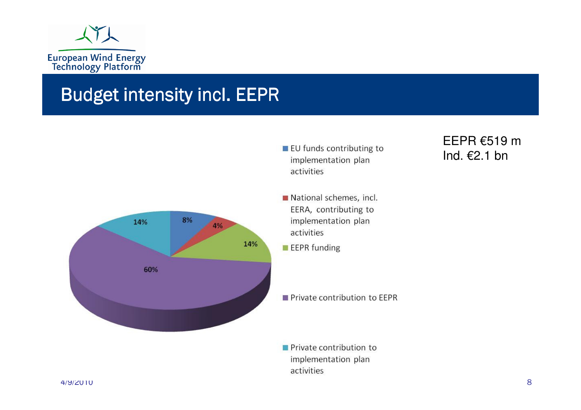

#### Budget intensity incl. EEPR



**EU** funds contributing to

#### EEPR €519 mInd.  $E2.1$  bn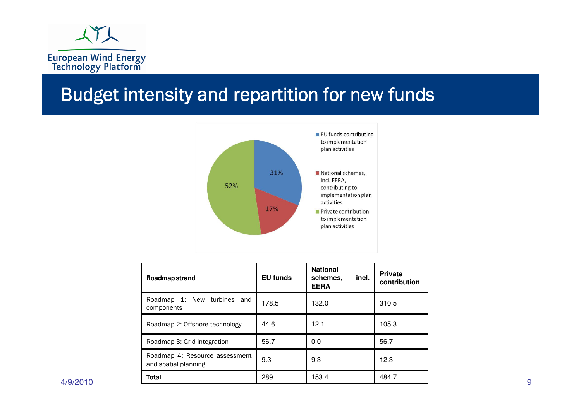

#### Budget intensity and repartition for new funds



| Roadmap strand                                         | <b>EU funds</b> | <b>National</b><br>incl.<br>schemes,<br><b>EERA</b> | <b>Private</b><br>contribution |
|--------------------------------------------------------|-----------------|-----------------------------------------------------|--------------------------------|
| Roadmap 1: New turbines and<br>components              | 178.5           | 132.0                                               | 310.5                          |
| Roadmap 2: Offshore technology                         | 44.6            | 12.1                                                | 105.3                          |
| Roadmap 3: Grid integration                            | 56.7            | 0.0                                                 | 56.7                           |
| Roadmap 4: Resource assessment<br>and spatial planning | 9.3             | 9.3                                                 | 12.3                           |
| Total                                                  | 289             | 153.4                                               | 484.7                          |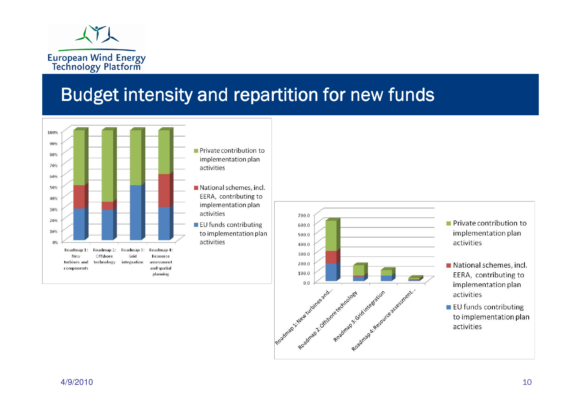

#### Budget intensity and repartition for new funds



**EU** funds contributing to implementation plan activities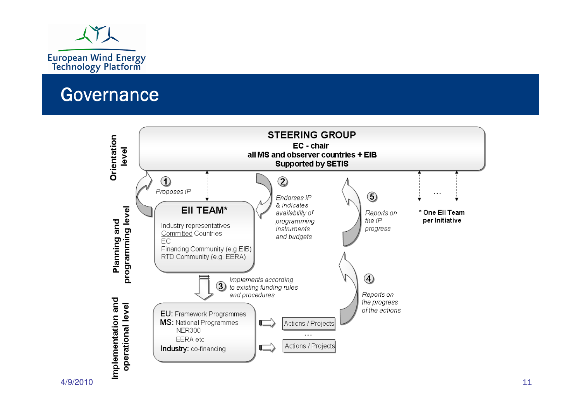

#### Governance

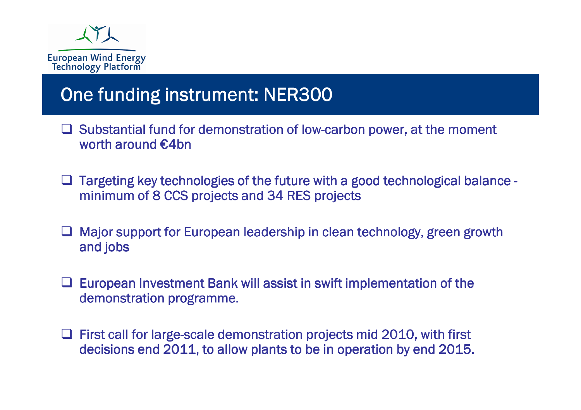

#### One funding instrument: NER300

- □ Substantial fund for demonstration of low-carbon power, at the moment worth around  $€4$ hn worth around  $\bm{\epsilon}$ 4bn
- $\Box$ Targeting key technologies of the future with a good technological balance -<br>minimum of 8 CCS projects and 34 RES projects
- □ Major support for European leadership in clean technology, green growth and jobs and jobs
- □ European Investment Bank will assist in swift implementation of the demonstration programme demonstration programme.
- □ First call for large-scale demonstration projects mid 2010, with first <br>decisions end 2011 to allow plants to be in operation by end 2015 decisions end 2011, to allow plants to be in operation by end 2015.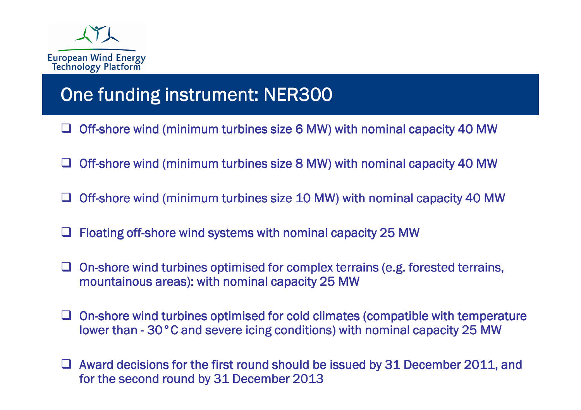

#### One funding instrument: NER300

- $\Box$  Off-shore wind (minimum turbines size 6 MW) with nominal capacity 40 MW
- $\Box$  Off-shore wind (minimum turbines size 8 MW) with nominal capacity 40 MW
- $\Box$ Off-shore wind (minimum turbines size 10 MW) with nominal capacity 40 MW
- □ Floating off-shore wind systems with nominal capacity 25 MW
- $\Box$  On-shore wind turbines optimised for complex terrains (e.g. forested terrains, mountainous areas); with nominal canacity 25 MW mountainous areas): with nominal capacity 25 MW
- **On-shore wind turbines optimised for cold climates (compatible with temperature lower than 30°C and severe icing conditions) with nominal canacity 25 MW** lower than - 30°C and severe icing conditions) with nominal capacity 25 MW
- □ Award decisions for the first round should be issued by 31 December 2011, and<br>for the second round by 31 December 2013 for the second round by 31 December 2013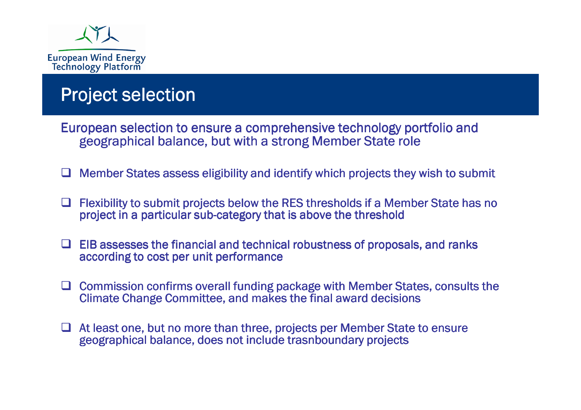

#### Project selection

European selection to ensure a comprehensive technology portfolio and geographical balance, but with a strong Member State role

- $\Box$ Member States assess eligibility and identify which projects they wish to submit
- $\Box$  Flexibility to submit projects below the RES thresholds if a Member State has no project in a particular sub-category that is above the threshold
- □ EIB assesses the financial and technical robustness of proposals, and ranks according to cost per unit performance according to cost per unit performance
- □ Commission confirms overall funding package with Member States, consults the Climate Change Committee, and makes the final award decisions Climate Change Committee, and makes the final award decisions
- □ At least one, but no more than three, projects per Member State to ensure property and include trashboundary projects geographical balance, does not include trasnboundary projects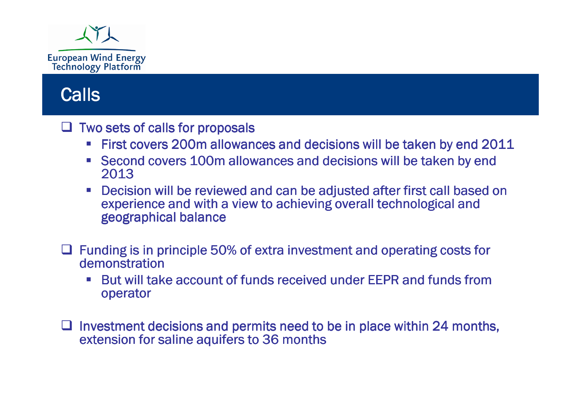

#### Calls

Two sets of calls for proposals<br>Eirct equare 200m allowan

- First covers 200m allowances and decisions will be taken by end 2011
- Second covers 100m allowances and decisions will be taken by end 2013
- **Decision will be reviewed and can be adjusted after first call based on Property** experience and with a view to achieving overall technological and geographical balance
- □ Funding is in principle 50% of extra investment and operating costs for demonstration demonstration
	- But will take account of funds received under EEPR and funds from  $\mathcal{L}^{\text{max}}$ operator
- $\Box$  Investment decisions and permits need to be in place within 24 months, extension for saline aquifers to 36 months extension for saline aquifers to 36 months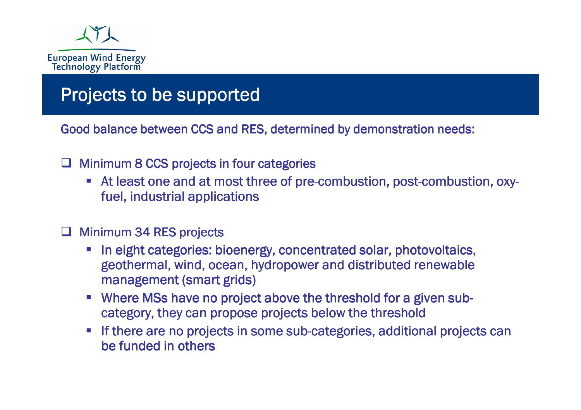

#### Projects to be supported

Good balance between CCS and RES, determined by demonstration needs:

- Minimum 8 CCS projects in four categories
	- At least one and at most three of pre-combustion, post-combustion, oxyfuel, industrial applications

#### □ Minimum 34 RES projects

- In eight categories: bioenergy, concentrated solar, photovoltaics, geothermal, wind, ocean, hydropower and distributed renewable management (smart grids)
- Where MSs have no project above the threshold for a given sub-<br>category, they can propose projects below the threshold
- If there are no projects in some sub-categories, additional projects can be funded in others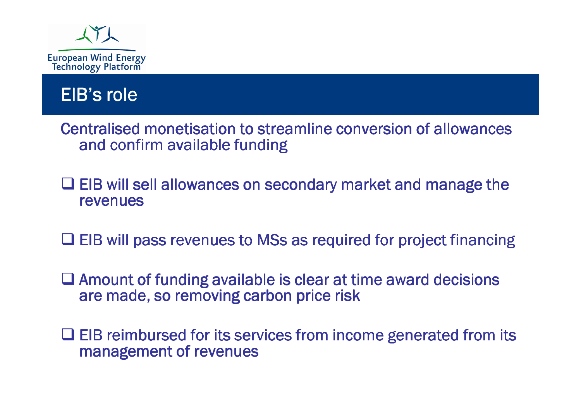

#### EIB's role

Centralised monetisation to streamline conversion of allowances and confirm available funding

□ EIB will sell allowances on secondary market and manage the revenues revenues

□ EIB will pass revenues to MSs as required for project financing

□ Amount of funding available is clear at time award decisions<br>are made, so removing carbon price risk are made, so removing carbon price risk

□ EIB reimbursed for its services from income generated from its management of revenues management of revenues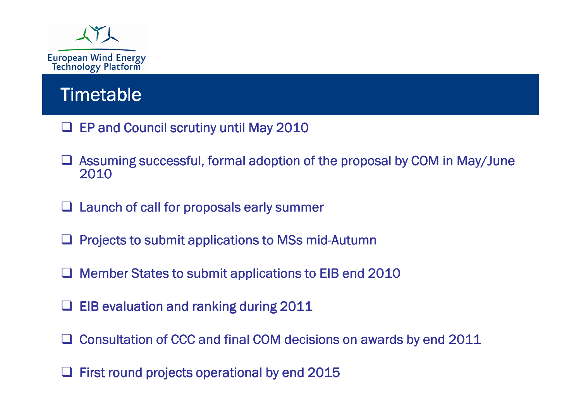

#### **Timetable**

- □ EP and Council scrutiny until May 2010
- □ Assuming successful, formal adoption of the proposal by COM in May/June 2010 2010
- □ Launch of call for proposals early summer
- □ Projects to submit applications to MSs mid-Autumn
- □ Member States to submit applications to EIB end 2010
- □ EIB evaluation and ranking during 2011
- □ Consultation of CCC and final COM decisions on awards by end 2011
- □ First round projects operational by end 2015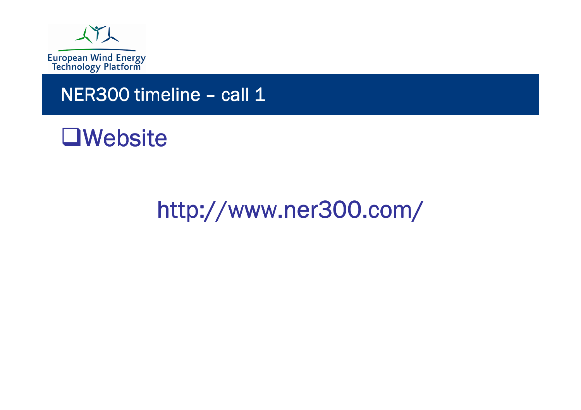

# NER300 timeline – call 1

### **O**Website

## http://www.ner300.com/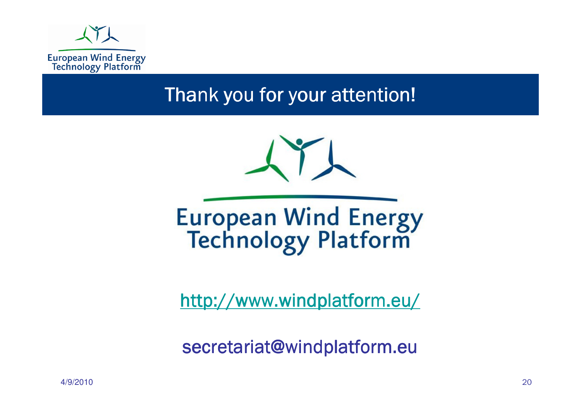

#### Thank you for your attention!



# **European Wind Energy<br>Technology Platform**

http://www.windplatform.eu/

secretariat@windplatform.eu